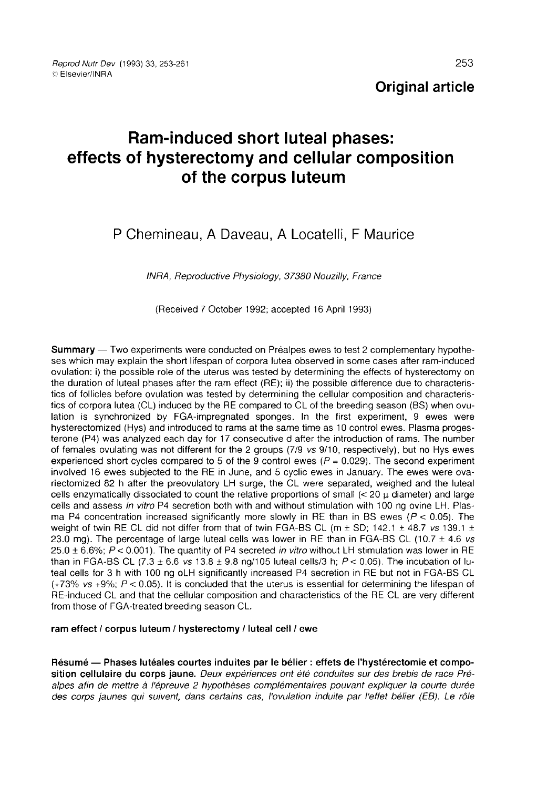# Ram-induced short luteal phases: effects of hysterectomy and cellular composition of the corpus luteum

# P Chemineau, A Daveau, A Locatelli, F Maurice

INRA, Reproductive Physiology, 37380 Nouzilly, France

(Received 7 October 1992; accepted 16 April 1993)

Summary — Two experiments were conducted on Préalpes ewes to test 2 complementary hypothe-<br>ses which may explain the short lifespan of corpora lutea observed in some cases after ram-induced ovulation: i) the possible role of the uterus was tested by determining the effects of hysterectomy on the duration of luteal phases after the ram effect (RE); ii) the possible difference due to characteristics of follicles before ovulation was tested by determining the cellular composition and characteristics of corpora lutea (CL) induced by the RE compared to CL of the breeding season (BS) when ovulation is synchronized by FGA-impregnated sponges. In the first experiment, 9 ewes were hysterectomized (Hys) and introduced to rams at the same time as 10 control ewes. Plasma progesterone (P4) was analyzed each day for 17 consecutive d after the introduction of rams. The number of females ovulating was not different for the 2 groups (7/9 vs 9/10, respectively), but no Hys ewes experienced short cycles compared to 5 of the 9 control ewes ( $P = 0.029$ ). The second experiment involved 16 ewes subjected to the RE in June, and 5 cyclic ewes in January. The ewes were ovariectomized 82 h after the preovulatory LH surge, the CL were separated, weighed and the luteal cells enzymatically dissociated to count the relative proportions of small  $\ll$  20  $\mu$  diameter) and large cells and assess in vitro P4 secretion both with and without stimulation with 100 ng ovine LH. Plasma P4 concentration increased significantly more slowly in RE than in BS ewes ( $P < 0.05$ ). The weight of twin RE CL did not differ from that of twin FGA-BS CL (m  $\pm$  SD; 142.1  $\pm$  48.7 vs 139.1  $\pm$ 23.0 mg). The percentage of large luteal cells was lower in RE than in FGA-BS CL (10.7  $\pm$  4.6 vs 25.0  $\pm$  6.6%; P < 0.001). The quantity of P4 secreted in vitro without LH stimulation was lower in RE than in FGA-BS CL (7.3  $\pm$  6.6 vs 13.8  $\pm$  9.8 ng/105 luteal cells/3 h; P < 0.05). The incubation of luteal cells for 3 h with 100 ng oLH significantly increased P4 secretion in RE but not in FGA-BS CL  $(+73\% \text{ vs } +9\%; P < 0.05)$ . It is concluded that the uterus is essential for determining the lifespan of RE-induced CL and that the cellular composition and characteristics of the RE CL are very different from those of FGA-treated breeding season CL.

ram effect / corpus luteum / hysterectomy / luteal cell / ewe

Résumé ― Phases lutéales courtes induites par le bélier : effets de l'hystérectomie et composition cellulaire du corps jaune. Deux expériences ont été conduites sur des brebis de race Préalpes afin de mettre à l'épreuve 2 hypothèses complémentaires pouvant expliquer la courte durée des corps jaunes qui suivent, dans certains cas, l'ovulation induite par l'effet bélier (EB). Le rôle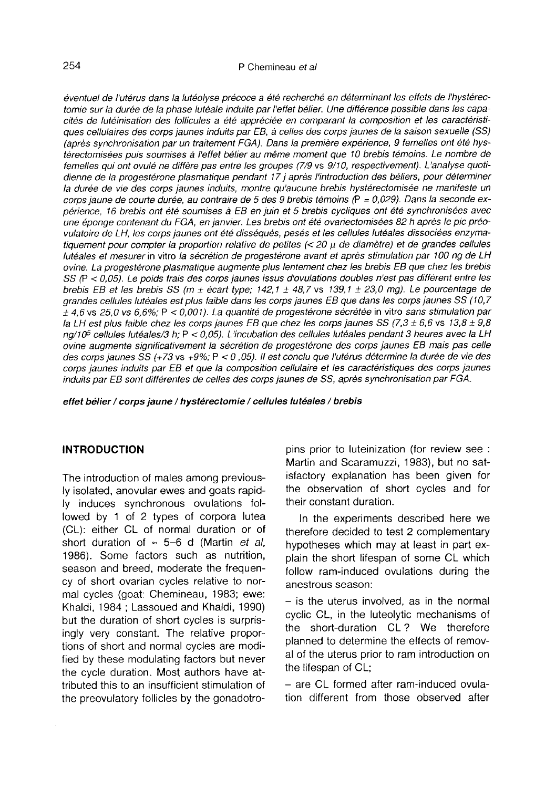éventuel de l'utérus dans la lutéolyse précoce a été recherché en déterminant les effets de l'hystérectomie sur la durée de la phase lutéale induite par l'effet bélier. Une différence possible dans les capacités de lutéinisation des follicules a été appréciée en comparant la composition et les caractéristiques cellulaires des corps jaunes induits par EB, à celles des corps jaunes de la saison sexuelle (SS) (après synchronisation par un traitement FGA). Dans la première expérience, 9 femelles ont été hystérectomisées puis soumises à l'effet bélier au même moment que 10 brebis témoins. Le nombre de femelles qui ont ovulé ne diffère pas entre les groupes (7/9 vs 9/10, respectivement). L'analyse quotidienne de la progestérone plasmatique pendant 17 j après l'introduction des béliers, pour déterminer la durée de vie des corps jaunes induits, montre qu'aucune brebis hystérectomisée ne manifeste un corps jaune de courte durée, au contraire de 5 des 9 brebis témoins (P = 0,029). Dans la seconde expérience, 16 brebis ont été soumises à EB en juin et 5 brebis cycliques ont été synchronisées avec une éponge contenant du FGA, en janvier. Les brebis ont été ovariectomisées 82 h après le pic préovulatoire de LH, les corps jaunes ont été disséqués, pesés et les cellules lutéales dissociées enzymatiquement pour compter la proportion relative de petites  $\ll$  20  $\mu$  de diamètre) et de grandes cellules lutéales et mesurer in vitro la sécrétion de progestérone avant et après stimulation par 100 ng de LH ovine. La progestérone plasmatique augmente plus lentement chez les brebis EB que chez les brebis SS (P < 0,05). Le poids frais des corps jaunes issus d'ovulations doubles n'est pas différent entre les brebis EB et les brebis SS (m  $\pm$  écart type; 142,1  $\pm$  48,7 vs 139,1  $\pm$  23,0 mg). Le pourcentage de grandes cellules lutéales est plus faible dans les corps jaunes EB que dans les corps jaunes SS (10,7 7  $\pm$  4.6 vs 25.0 vs 6.6%; P < 0.001). La quantité de progestérone sécrétée in vitro sans stimulation par la LH est plus faible chez les corps jaunes EB que chez les corps jaunes SS (7,3 ± 6,6 vs 13,8 ± 9,8  $\,$ g. 4,6 vs 25,0 vs 6,6%; P < 0,001). La quantité de progestérone sécrétée in vitro sans stimulation par<br>la LH est plus faible chez les corps jaunes EB que chez les corps jaunes SS (7,3 ± 6,6 vs 13,8 ± 9,8<br>ng/10<sup>5</sup> cellules ovine augmente significativement la sécrétion de progestérone des corps jaunes EB mais pas celle des corps jaunes SS (+73 vs +9%; P < 0 , 05). Il est conclu que l'utérus détermine la durée de vie des corps jaunes induits par EB et que la composition cellulaire et les caractéristiques des corps jaunes induits par EB sont différentes de celles des corps jaunes de SS, après synchronisation par FGA.

effet bélier / corps jaune / hystérectomie / cellules lutéales / brebis

#### INTRODUCTION

The introduction of males among previously isolated, anovular ewes and goats rapidly induces synchronous ovulations followed by 1 of 2 types of corpora lutea (CL): either CL of normal duration or of short duration of  $\approx$  5-6 d (Martin *et al.*) 1986). Some factors such as nutrition, season and breed, moderate the frequency of short ovarian cycles relative to normal cycles (goat: Chemineau, 1983; ewe: Khaldi, 1984 ; Lassoued and Khaldi, 1990) but the duration of short cycles is surprisingly very constant. The relative proportions of short and normal cycles are modified by these modulating factors but never the cycle duration. Most authors have attributed this to an insufficient stimulation of the preovulatory follicles by the gonadotro-

pins prior to luteinization (for review see : Martin and Scaramuzzi, 1983), but no satisfactory explanation has been given for the observation of short cycles and for their constant duration.

In the experiments described here we therefore decided to test 2 complementary hypotheses which may at least in part explain the short lifespan of some CL which follow ram-induced ovulations during the anestrous season:

 $-$  is the uterus involved, as in the normal cyclic CL, in the luteolytic mechanisms of the short-duration CL ? We therefore planned to determine the effects of removal of the uterus prior to ram introduction on the lifespan of CL;

- are CL formed after ram-induced ovulation different from those observed after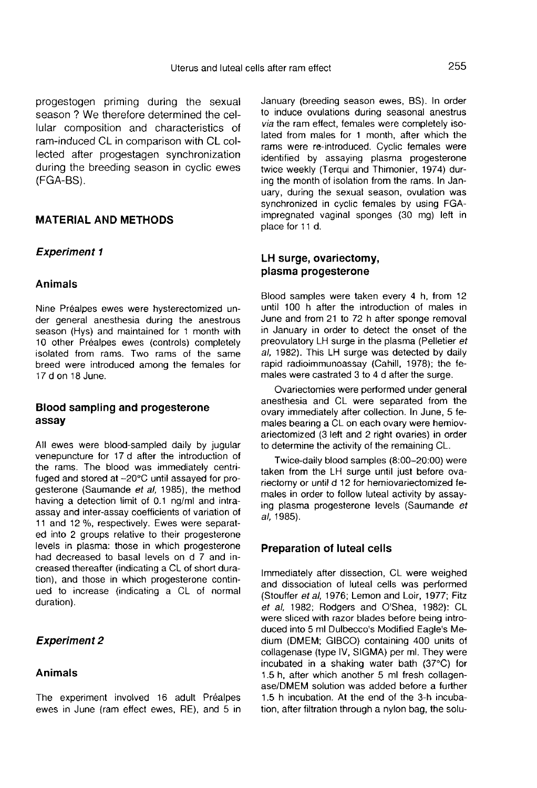progestogen priming during the sexual season ? We therefore determined the cellular composition and characteristics of ram-induced CL in comparison with CL collected after progestagen synchronization during the breeding season in cyclic ewes (FGA-BS).

# MATERIAL AND METHODS.

# Experiment 1

#### Animals

Nine Préalpes ewes were hysterectomized under general anesthesia during the anestrous season (Hys) and maintained for 1 month with 10 other Préalpes ewes (controls) completely isolated from rams. Two rams of the same breed were introduced among the females for 17 d on 18 June.

# Blood sampling and progesterone assay

All ewes were blood-sampled daily by jugular venepuncture for 17 d after the introduction of the rams. The blood was immediately centrifuged and stored at -20°C until assayed for progesterone (Saumande et al, 1985), the method having a detection limit of 0.1 ng/ml and intraassay and inter-assay coefficients of variation of 11 and 12 %, respectively. Ewes were separated into 2 groups relative to their progesterone levels in plasma: those in which progesterone had decreased to basal levels on d 7 and increased thereafter (indicating a CL of short duration), and those in which progesterone continued to increase (indicating a CL of normal duration).

# Experiment 2

#### Animals

The experiment involved 16 adult Préalpes ewes in June (ram effect ewes, RE), and 5 in January (breeding season ewes, BS). In order to induce ovulations during seasonal anestrus via the ram effect, females were completely isolated from males for 1 month, after which the rams were re-introduced. Cyclic females were identified by assaying plasma progesterone twice weekly (Terqui and Thimonier, 1974) during the month of isolation from the rams. In January, during the sexual season, ovulation was synchronized in cyclic females by using FGAimpregnated vaginal sponges (30 mg) left in place for 11 d.

#### LH surge, ovariectomy, plasma progesterone

Blood samples were taken every 4 h, from 12 until 100 h after the introduction of males in June and from 21 to 72 h after sponge removal in January in order to detect the onset of the preovulatory LH surge in the plasma (Pelletier et al, 1982). This LH surge was detected by daily rapid radioimmunoassay (Cahill, 1978); the females were castrated 3 to 4 d after the surge.

Ovariectomies were performed under general anesthesia and CL were separated from the ovary immediately after collection. In June, 5 females bearing a CL on each ovary were hemiovariectomized (3 left and 2 right ovaries) in order to determine the activity of the remaining CL.

Twice-daily blood samples (8:00-20:00) were taken from the LH surge until just before ovariectomy or until d 12 for hemiovariectomized females in order to follow luteal activity by assaying plasma progesterone levels (Saumande et a/, 1985).

#### Preparation of luteal cells

Immediately after dissection, CL were weighed and dissociation of luteal cells was performed (Stouffer et al, 1976; Lemon and Loir, 1977; Fitz et al, 1982; Rodgers and O'Shea, 1982): CL were sliced with razor blades before being introduced into 5 ml Dulbecco's Modified Eagle's Medium (DMEM; GIBCO) containing 400 units of collagenase (type IV, SIGMA) per ml. They were incubated in a shaking water bath (37°C) for 1.5 h, after which another 5 ml fresh collagenase/DMEM solution was added before a further 1.5 h incubation. At the end of the 3-h incubation, after filtration through a nylon bag, the solu-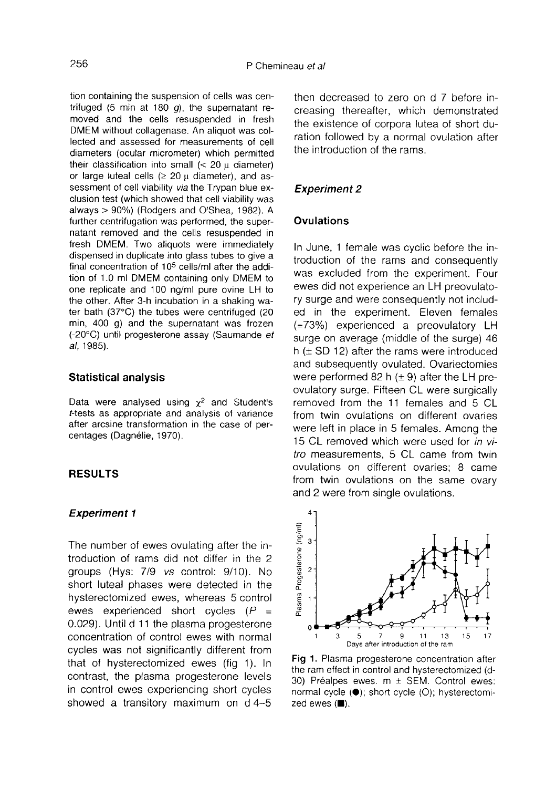tion containing the suspension of cells was centrifuged (5 min at 180  $q$ ), the supernatant removed and the cells resuspended in fresh DMEM without collagenase. An aliquot was collected and assessed for measurements of cell diameters (ocular micrometer) which permitted their classification into small  $\langle$  20  $\mu$  diameter) or large luteal cells  $( \ge 20 \text{ }\mu \text{ } \text{diameter})$ , and assessment of cell viability via the Trypan blue exclusion test (which showed that cell viability was always > 90%) (Rodgers and O'Shea, 1982). A further centrifugation was performed, the supernatant removed and the cells resuspended in fresh DMEM. Two aliquots were immediately dispensed in duplicate into glass tubes to give a final concentration of 105 cells/ml after the addition of 1.0 ml DMEM containing only DMEM to one replicate and 100 ng/ml pure ovine LH to the other. After 3-h incubation in a shaking water bath (37°C) the tubes were centrifuged (20 min, 400 g) and the supernatant was frozen (-20°C) until progesterone assay (Saumande et a/, 1985).

#### Statistical analysis

Data were analysed using  $\chi^2$  and Student's t-tests as appropriate and analysis of variance after arcsine transformation in the case of percentages (Dagnélie, 1970).

#### RESULTS

### Experiment 1

The number of ewes ovulating after the introduction of rams did not differ in the 2 groups (Hys: 7/9 vs control: 9/10). No short luteal phases were detected in the hysterectomized ewes, whereas 5 control ewes experienced short cycles  $(P =$ 0.029). Until d 11 the plasma progesterone concentration of control ewes with normal cycles was not significantly different from that of hysterectomized ewes (fig 1). In contrast, the plasma progesterone levels in control ewes experiencing short cycles showed a transitory maximum on d 4-5 then decreased to zero on d 7 before increasing thereafter, which demonstrated the existence of corpora lutea of short duration followed by a normal ovulation after the introduction of the rams.

#### Experiment 2

#### **Ovulations**

In June, 1 female was cyclic before the introduction of the rams and consequently was excluded from the experiment. Four ewes did not experience an LH preovulatory surge and were consequently not included in the experiment. Eleven females (=73%) experienced a preovulatory LH surge on average (middle of the surge) 46 h  $(\pm$  SD 12) after the rams were introduced and subsequently ovulated. Ovariectomies were performed 82 h  $(\pm 9)$  after the LH preovulatory surge. Fifteen CL were surgically removed from the 11 females and 5 CL from twin ovulations on different ovaries were left in place in 5 females. Among the 15 CL removed which were used for in vitro measurements, 5 CL came from twin ovulations on different ovaries; 8 came from twin ovulations on the same ovary and 2 were from single ovulations.



Fig 1. Plasma progesterone concentration after the ram effect in control and hysterectomized (d-30) Préalpes ewes.  $m \pm$  SEM. Control ewes: normal cycle (·); short cycle (O); hysterectomi $zed$  ewes  $(\blacksquare)$ .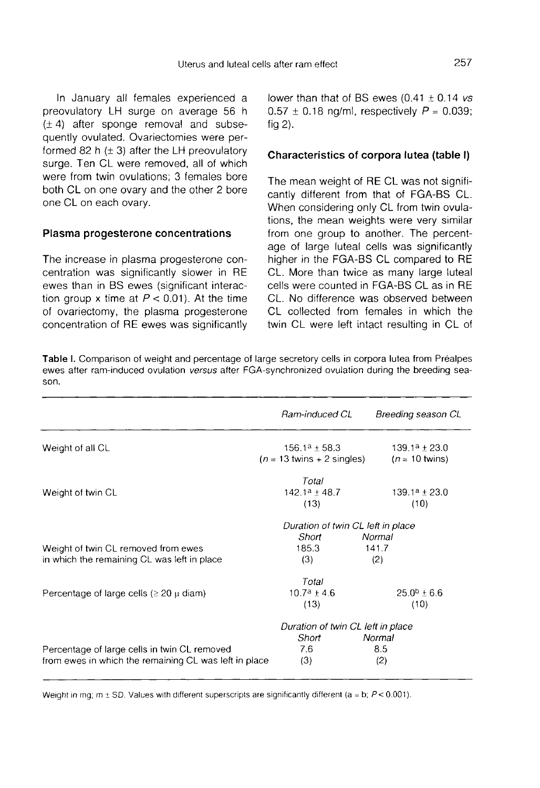In January all females experienced a preovulatory LH surge on average 56 h  $(\pm 4)$  after sponge removal and subsequently ovulated. Ovariectomies were performed 82 h  $(\pm 3)$  after the LH preovulatory surge. Ten CL were removed, all of which were from twin ovulations; 3 females bore both CL on one ovary and the other 2 bore one CL on each ovary.

#### Plasma progesterone concentrations

The increase in plasma progesterone concentration was significantly slower in RE ewes than in BS ewes (significant interaction group x time at  $P < 0.01$ ). At the time of ovariectomy, the plasma progesterone concentration of RE ewes was significantly lower than that of BS ewes  $(0.41 \pm 0.14 \text{ vs }$  $0.57 \pm 0.18$  ng/ml, respectively  $P = 0.039$ ; fig 2).

#### Characteristics of corpora lutea (table I)

The mean weight of RE CL was not significantly different from that of FGA-BS CL. When considering only CL from twin ovulations, the mean weights were very similar from one group to another. The percentage of large luteal cells was significantly higher in the FGA-BS CL compared to RE CL. More than twice as many large luteal cells were counted in FGA-BS CL as in RE CL. No difference was observed between CL collected from females in which the twin CL were left intact resulting in CL of

Table I. Comparison of weight and percentage of large secretory cells in corpora lutea from Préalpes ewes after ram-induced ovulation versus after FGA-synchronized ovulation during the breeding season.

|                                                       | Ram-induced CL                             | Breeding season CL       |
|-------------------------------------------------------|--------------------------------------------|--------------------------|
| Weight of all CL                                      | $156.1^a \pm 58.3$                         | $139.1^a \pm 23.0$       |
|                                                       | $(n = 13 \text{ twins} + 2 \text{single})$ | $(n = 10 \text{ twins})$ |
|                                                       | Total                                      |                          |
| Weight of twin CL                                     | $142.1a + 48.7$                            | $139.1^a \pm 23.0$       |
|                                                       | (13)                                       | (10)                     |
|                                                       | Duration of twin CL left in place          |                          |
|                                                       | Short                                      | Normal                   |
| Weight of twin CL removed from ewes                   | 185.3                                      | 141.7                    |
| in which the remaining CL was left in place           | (3)                                        | (2)                      |
|                                                       | Total                                      |                          |
| Percentage of large cells ( $\geq 20$ $\mu$ diam)     | $10.7^a + 4.6$                             | $25.0^b \pm 6.6$         |
|                                                       | (13)                                       | (10)                     |
|                                                       | Duration of twin CL left in place          |                          |
|                                                       | Short                                      | Normal                   |
| Percentage of large cells in twin CL removed          | 7.6                                        | 8.5                      |
| from ewes in which the remaining CL was left in place | (3)                                        | (2)                      |

Weight in mg;  $m \pm SD$ . Values with different superscripts are significantly different (a = b;  $P < 0.001$ ).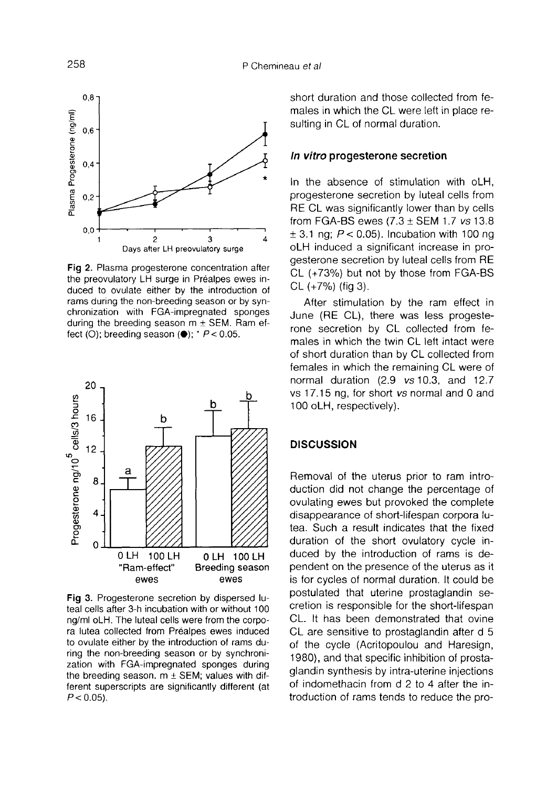

Fig 2. Plasma progesterone concentration after the preovulatory LH surge in Préalpes ewes induced to ovulate either by the introduction of rams during the non-breeding season or by synchronization with FGA-impregnated sponges during the breeding season  $m \pm$  SEM. Ram effect (O); breeding season  $(\bullet)$ ;  $\prime$  P < 0.05.



Fig 3. Progesterone secretion by dispersed luteal cells after 3-h incubation with or without 100 ng/ml oLH. The luteal cells were from the corpora lutea collected from Préalpes ewes induced to ovulate either by the introduction of rams during the non-breeding season or by synchronization with FGA-impregnated sponges during the breeding season.  $m \pm$  SEM; values with different superscripts are significantly different (at  $P < 0.05$ ).

short duration and those collected from females in which the CL were left in place resulting in CL of normal duration.

#### In vitro progesterone secretion

In the absence of stimulation with oLH, progesterone secretion by luteal cells from RE CL was significantly lower than by cells from FGA-BS ewes  $(7.3 \pm SEM$  1.7 vs 13.8  $\pm$  3.1 ng;  $P$  < 0.05). Incubation with 100 ng oLH induced a significant increase in progesterone secretion by luteal cells from RE CL (+73%) but not by those from FGA-BS CL (+7%) (fig 3).

After stimulation by the ram effect in June (RE CL), there was less progeste rone secretion by CL collected from females in which the twin CL left intact were of short duration than by CL collected from females in which the remaining CL were of normal duration (2.9 vs 10.3, and 12.7 vs 17.15 ng, for short vs normal and 0 and 100 oLH, respectively).

# **DISCUSSION**

Removal of the uterus prior to ram introduction did not change the percentage of ovulating ewes but provoked the complete disappearance of short-lifespan corpora lutea. Such a result indicates that the fixed duration of the short ovulatory cycle induced by the introduction of rams is dependent on the presence of the uterus as it is for cycles of normal duration. It could be postulated that uterine prostaglandin secretion is responsible for the short-lifespan CL. It has been demonstrated that ovine CL are sensitive to prostaglandin after d 5 of the cycle (Acritopoulou and Haresign, 1980), and that specific inhibition of prostaglandin synthesis by intra-uterine injections of indomethacin from d 2 to 4 after the introduction of rams tends to reduce the pro-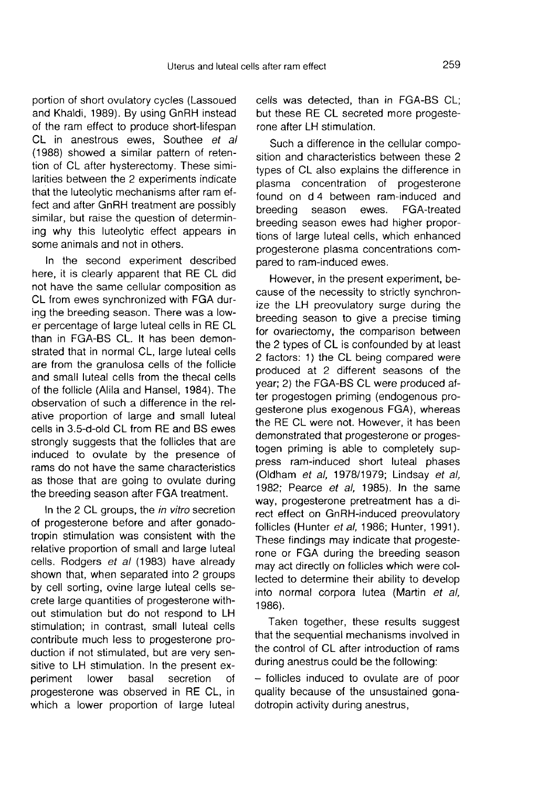portion of short ovulatory cycles (Lassoued and Khaldi, 1989). By using GnRH instead of the ram effect to produce short-lifespan CL in anestrous ewes, Southee et al (1988) showed a similar pattern of retention of CL after hysterectomy. These similarities between the 2 experiments indicate that the luteolytic mechanisms after ram effect and after GnRH treatment are possibly similar, but raise the question of determining why this luteolytic effect appears in some animals and not in others.

In the second experiment described here, it is clearly apparent that RE CL did not have the same cellular composition as CL from ewes synchronized with FGA during the breeding season. There was a lower percentage of large luteal cells in RE CL than in FGA-BS CL. It has been demonstrated that in normal CL, large luteal cells are from the granulosa cells of the follicle and small luteal cells from the thecal cells of the follicle (Alila and Hansel, 1984). The observation of such a difference in the relative proportion of large and small luteal cells in 3.5-d-old CL from RE and BS ewes strongly suggests that the follicles that are induced to ovulate by the presence of rams do not have the same characteristics as those that are going to ovulate during the breeding season after FGA treatment.

In the 2 CL groups, the *in vitro* secretion of progesterone before and after gonadotropin stimulation was consistent with the relative proportion of small and large luteal cells. Rodgers et al (1983) have already shown that, when separated into 2 groups by cell sorting, ovine large luteal cells secrete large quantities of progesterone without stimulation but do not respond to LH stimulation; in contrast, small luteal cells contribute much less to progesterone production if not stimulated, but are very sensitive to LH stimulation. In the present experiment lower basal secretion of progesterone was observed in RE CL, in which a lower proportion of large luteal cells was detected, than in FGA-BS CL; but these RE CL secreted more progeste rone after LH stimulation.

Such a difference in the cellular composition and characteristics between these 2 types of CL also explains the difference in plasma concentration of progesterone found on d 4 between ram-induced and breeding season ewes. FGA-treated breeding season ewes had higher proportions of large luteal cells, which enhanced progesterone plasma concentrations compared to ram-induced ewes.

However, in the present experiment, because of the necessity to strictly synchronize the LH preovulatory surge during the breeding season to give a precise timing for ovariectomy, the comparison between the 2 types of CL is confounded by at least 2 factors: 1) the CL being compared were produced at 2 different seasons of the year; 2) the FGA-BS CL were produced after progestogen priming (endogenous progesterone plus exogenous FGA), whereas the RE CL were not. However, it has been demonstrated that progesterone or progestogen priming is able to completely suppress ram-induced short luteal phases (Oldham et al, 1978/1979; Lindsay et al, 1982; Pearce et al, 1985). In the same way, progesterone pretreatment has a direct effect on GnRH-induced preovulatory follicles (Hunter et al, 1986; Hunter, 1991).<br>These findings may indicate that progesterone or FGA during the breeding season may act directly on follicles which were collected to determine their ability to develop into normal corpora lutea (Martin et al, 1986).

Taken together, these results suggest that the sequential mechanisms involved in the control of CL after introduction of rams during anestrus could be the following:

- follicles induced to ovulate are of poor quality because of the unsustained gonadotropin activity during anestrus,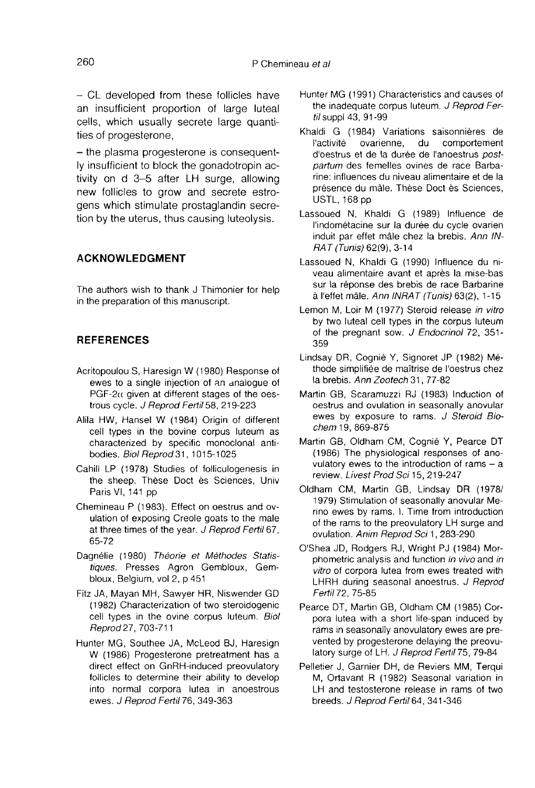- CL developed from these follicles have an insufficient proportion of large luteal cells, which usually secrete large quantities of progesterone,

- the plasma progesterone is consequently insufficient to block the gonadotropin activity on d 3-5 after LH surge, allowing new follicles to grow and secrete estrogens which stimulate prostaglandin secretion by the uterus, thus causing luteolysis.

# ACKNOWLEDGMENT

The authors wish to thank J Thimonier for help in the preparation of this manuscript.

# REFERENCES

- Acritopoulou S, Haresign W (1980) Response of ewes to a single injection of an analogue of PGF-2 $\alpha$  given at different stages of the oestrous cycle. J Reprod Fertil 58, 219-223
- Alila HW, Hansel W (1984) Origin of different cell types in the bovine corpus luteum as characterized by specific monoclonal antibodies. Biol Reprod 31, 1015-1025
- Cahill LP (1978) Studies of folliculogenesis in the sheep. Thèse Doct ès Sciences, Univ Paris VI, 141 pp
- Chemineau P (1983). Effect on oestrus and ovulation of exposing Creole goats to the male at three times of the year. J Reprod Fertil 67, 65-72
- Dagnélie (1980) Théorie et Méthodes Statistiques. Presses Agron Gembloux, Gembloux, Belgium, vol 2, p 451
- Fitz JA, Mayan MH, Sawyer HR, Niswender GD (1982) Characterization of two steroidogenic cell types in the ovine corpus luteum. Biol Reprod 27, 703-711
- Hunter MG, Southee JA, McLeod BJ, Haresign W (1986) Progesterone pretreatment has a direct effect on GnRH-induced preovulatory follicles to determine their ability to develop into normal corpora lutea in anoestrous ewes. J Reprod Fertil 76, 349-363
- Hunter MG (1991) Characteristics and causes of the inadequate corpus luteum. J Reprod Fertil suppl 43, 91-99
- Khaldi G (1984) Variations saisonnières de<br>l'activité ovarienne, du comportement comportement d'oestrus et de la durée de I'anoestrus postpartum des femelles ovines de race Barbarine: influences du niveau alimentaire et de la présence du mâle. Thèse Doct ès Sciences, USTL, 168 pp
- Lassoued N, Khaldi G (1989) Influence de l'indom6tacine sur la durée du cycle ovarien induit par effet male chez la brebis. Ann IN-RAT (Tunis) 62(9), 3-14
- Lassoued N, Khaldi G (1990) Influence du niveau alimentaire avant et après la mise-bas sur la réponse des brebis de race Barbarine à l'effet mâle. Ann INRAT (Tunis) 63(2), 1-15
- Lemon M, Loir M (1977) Steroid release in vitro by two luteal cell types in the corpus luteum of the pregnant sow. J Endocrinol 72, 351- 359
- Lindsay DR, Cognié Y, Signoret JP (1982) Methode simplifiée de maitrise de l'oestrus chez la brebis. Ann Zootech 31, 77-82
- Martin GB, Scaramuzzi RJ (1983) Induction of oestrus and ovulation in seasonally anovular ewes by exposure to rams. J Steroid Biochem 19, 869-875
- Martin GB, Oldham CM, Cognié Y, Pearce DT (1986) The physiological responses of anovulatory ewes to the introduction of rams  $-$  a review. Livest Prod Sci 15, 219-247
- Oldham CM, Martin GB, Lindsay DR (1978/ 1979) Stimulation of seasonally anovular Merino ewes by rams. I. Time from introduction of the rams to the preovulatory LH surge and ovulation. Anim Reprod Sci 1, 283-290
- O'Shea JD, Rodgers RJ, Wright PJ (1984) Morphometric analysis and function in vivo and in vitro of corpora lutea from ewes treated with LHRH during seasonal anoestrus. J Reprod Fertil72, 75-85
- Pearce DT, Martin GB, Oldham CM (1985) Corpora lutea with a short life-span induced by rams in seasonally anovulatory ewes are prevented by progesterone delaying the preovulatory surge of LH. J Reprod Fertil 75, 79-84
- Pelletier J, Garnier DH, de Reviers MM, Terqui M, Ortavant R (1982) Seasonal variation in LH and testosterone release in rams of two breeds. J Reprod Fertil 64, 341-346